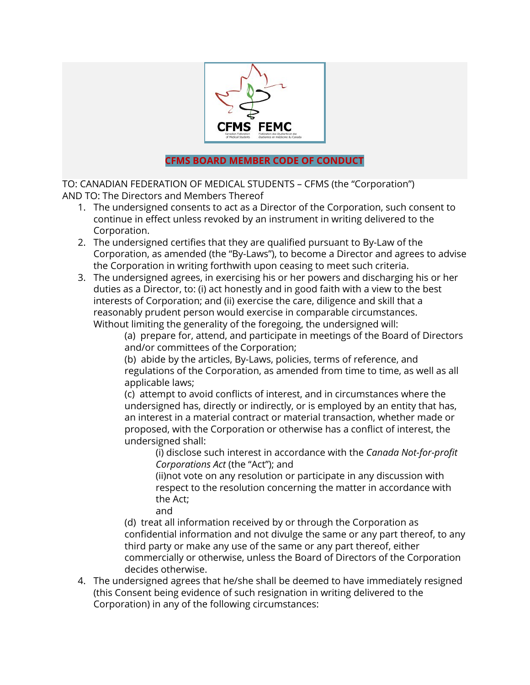

## **CFMS BOARD MEMBER CODE OF CONDUCT**

TO: CANADIAN FEDERATION OF MEDICAL STUDENTS – CFMS (the "Corporation") AND TO: The Directors and Members Thereof

- 1. The undersigned consents to act as a Director of the Corporation, such consent to continue in effect unless revoked by an instrument in writing delivered to the Corporation.
- 2. The undersigned certifies that they are qualified pursuant to By-Law of the Corporation, as amended (the "By-Laws"), to become a Director and agrees to advise the Corporation in writing forthwith upon ceasing to meet such criteria.
- 3. The undersigned agrees, in exercising his or her powers and discharging his or her duties as a Director, to: (i) act honestly and in good faith with a view to the best interests of Corporation; and (ii) exercise the care, diligence and skill that a reasonably prudent person would exercise in comparable circumstances. Without limiting the generality of the foregoing, the undersigned will:

(a) prepare for, attend, and participate in meetings of the Board of Directors and/or committees of the Corporation;

(b) abide by the articles, By-Laws, policies, terms of reference, and regulations of the Corporation, as amended from time to time, as well as all applicable laws;

(c) attempt to avoid conflicts of interest, and in circumstances where the undersigned has, directly or indirectly, or is employed by an entity that has, an interest in a material contract or material transaction, whether made or proposed, with the Corporation or otherwise has a conflict of interest, the undersigned shall:

(i) disclose such interest in accordance with the *Canada Not-for-profit Corporations Act* (the "Act"); and

(ii)not vote on any resolution or participate in any discussion with respect to the resolution concerning the matter in accordance with the Act;

and

(d) treat all information received by or through the Corporation as confidential information and not divulge the same or any part thereof, to any third party or make any use of the same or any part thereof, either commercially or otherwise, unless the Board of Directors of the Corporation decides otherwise.

4. The undersigned agrees that he/she shall be deemed to have immediately resigned (this Consent being evidence of such resignation in writing delivered to the Corporation) in any of the following circumstances: